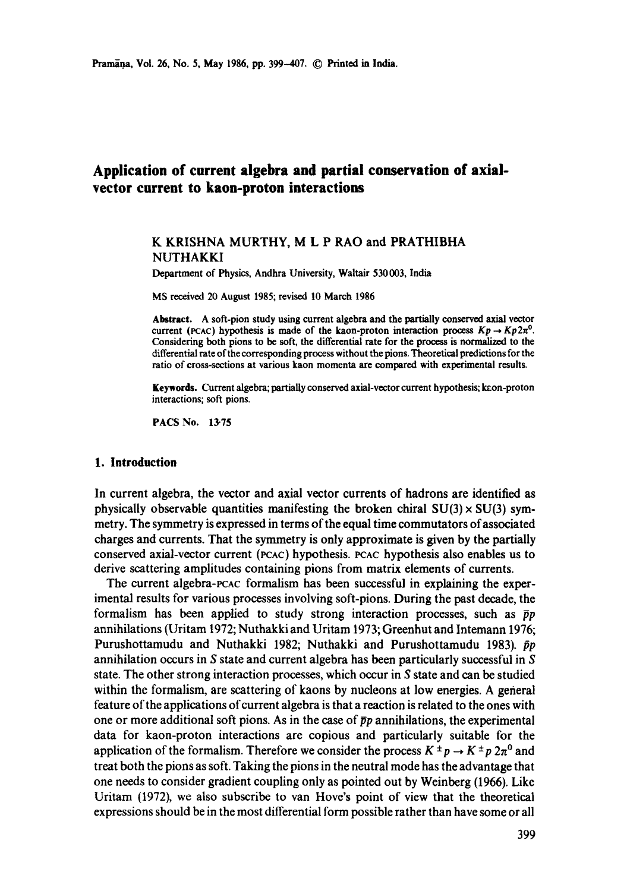# **Application of current algebra and partial conservation of axialvector current to kaon-proton interactions**

# K KRISHNA MURTHY, M L P RAO and PRATHIBHA NUTHAKKI

Department of Physics, Andhra University, Waltair 530 003, India

MS received 20 August 1985; revised 10 March 1986

**Abstract.** A soft-pion study using current algebra and the partially conserved axial vector current (PCAC) hypothesis is made of the kaon-proton interaction process  $Kp \to Kp2\pi^0$ . Considering both pions to be soft, the differential rate for the process is normalized to the differential rate of the corresponding process without the pions. Theoretical predictions for the ratio of cross-sections at various kaon momenta are compared with experimental results.

Keywords. Current algebra; partially conserved axial-vector current hypothesis; keon-proton interactions; soft pions.

PACS No. 13-75

### **1. Introduction**

In current algebra, the vector and axial vector currents of hadrons are identified as physically observable quantities manifesting the broken chiral  $SU(3) \times SU(3)$  symmetry. The symmetry is expressed in terms of the equal time commutators of associated charges and currents. That the symmetry is only approximate is given by the partially conserved axial-vector current (PCAC) hypothesis. PCAC hypothesis also enables us to derive scattering amplitudes containing pions from matrix elements of currents.

The current algebra-PCAC formalism has been successful in explaining the experimental results for various processes involving soft-pions. During the past decade, the formalism has been applied to study strong interaction processes, such as  $\bar{p}p$ annihilations (Uritam 1972; Nuthakki and Uritam 1973; Greenhut and Intemann 1976; Purushottamudu and Nuthakki 1982; Nuthakki and Purushottamudu 1983).  $\bar{p}p$ annihilation occurs in S state and current algebra has been particularly successful in S state. The other strong interaction processes, which occur in S state and can be studied within the formalism, are scattering of kaons by nucleons at low energies. A general feature of the applications of current algebra is that a reaction is related to the ones with one or more additional soft pions. As in the case of  $\bar{p}p$  annihilations, the experimental data for kaon-proton interactions are copious and particularly suitable for the application of the formalism. Therefore we consider the process  $K^{\pm}p \to K^{\pm}p 2\pi^0$  and treat both the pions as soft. Taking the pions in the neutral mode has the advantage that one needs to consider gradient coupling only as pointed out by Weinberg (1966). Like Uritam (1972), we also subscribe to van Hove's point of view that the theoretical expressions should be in the most differential form possible rather than have some or all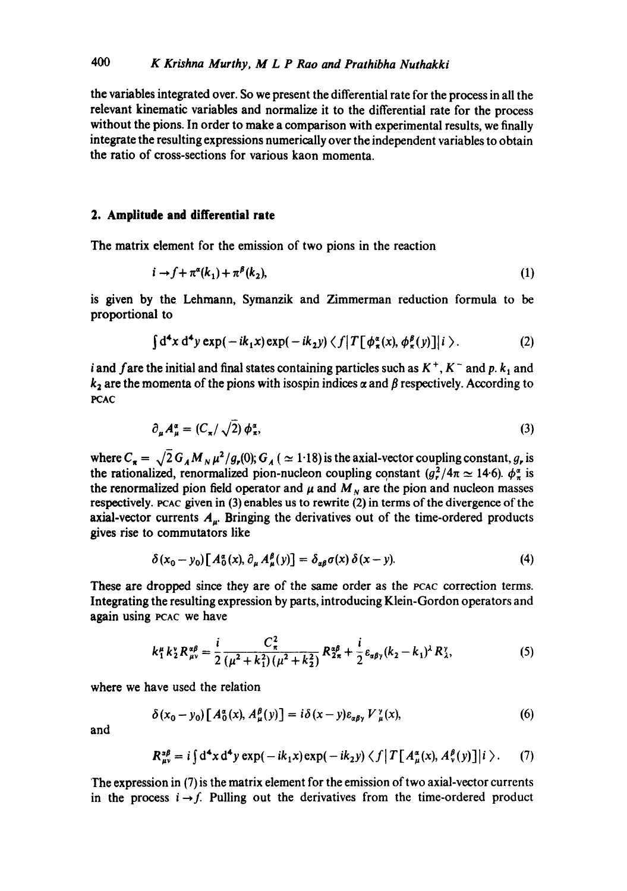the variables integrated over. So we present the differential rate for the process in all the relevant kinematic variables and normalize it to the differential rate for the process without the pions. In order to make a comparison with experimental results, we finally integrate the resulting expressions numerically over the independent variables to obtain the ratio of cross-sections for various kaon momenta.

# **2. Amplitude and differential rate**

The matrix element for the emission of two pions in the reaction

$$
i \to f + \pi^{\alpha}(k_1) + \pi^{\beta}(k_2), \tag{1}
$$

is given by the Lehmann, Symanzik and Zimmerman reduction formula to be proportional to

$$
\int d^4x d^4y \exp(-ik_1x) \exp(-ik_2y) \langle f | T[\phi_{\pi}^{\alpha}(x), \phi_{\pi}^{\beta}(y)] | i \rangle.
$$
 (2)

i and fare the initial and final states containing particles such as  $K^+$ ,  $K^-$  and p.  $k_1$  and  $k_2$  are the momenta of the pions with isospin indices  $\alpha$  and  $\beta$  respectively. According to PCAC

$$
\partial_{\mu} A_{\mu}^{\alpha} = (C_{\pi}/\sqrt{2}) \phi_{\pi}^{\alpha}, \tag{3}
$$

where  $C_{\rm g} = \sqrt{2} G_A M_N \mu^2 / g_r(0)$ ;  $G_A$  ( $\simeq$  1.18) is the axial-vector coupling constant, g, is the rationalized, renormalized pion-nucleon coupling constant  $(g^2/4\pi \simeq 14.6)$ .  $\phi^{\alpha}_{\pi}$  is the renormalized pion field operator and  $\mu$  and  $M_N$  are the pion and nucleon masses respectively. PCAC given in (3) enables us to rewrite (2) in terms of the divergence of the axial-vector currents  $A_{\mu}$ . Bringing the derivatives out of the time-ordered products gives rise to commutators like

$$
\delta(x_0 - y_0) \big[ A_0^{\alpha}(x), \partial_{\mu} A_{\mu}^{\beta}(y) \big] = \delta_{\alpha\beta} \sigma(x) \, \delta(x - y). \tag{4}
$$

These are dropped since they are of the same order as the PCAC correction terms. Integrating the resulting expression by parts, introducing Klein-Gordon operators and again using PCAC we have

$$
k_1^{\mu} k_2^{\nu} R_{\mu\nu}^{\alpha\beta} = \frac{i}{2} \frac{C_{\pi}^2}{(\mu^2 + k_1^2)(\mu^2 + k_2^2)} R_{2\pi}^{\alpha\beta} + \frac{i}{2} \varepsilon_{\alpha\beta\gamma} (k_2 - k_1)^{\lambda} R_{\lambda}^{\nu}, \tag{5}
$$

where we have used the relation

$$
\delta(x_0 - y_0) \left[ A_0^a(x), A_\mu^b(y) \right] = i \delta(x - y) \varepsilon_{\alpha \beta \gamma} V_\mu^y(x), \tag{6}
$$

and

$$
R_{\mu\nu}^{z\beta} = i \int d^4x d^4y \exp(-ik_1x) \exp(-ik_2y) \langle f | T[A_{\mu}^{\alpha}(x), A_{\nu}^{\beta}(y)] | i \rangle.
$$
 (7)

The expression in (7) is the matrix element for the emission of two axial-vector currents in the process  $i \rightarrow f$ . Pulling out the derivatives from the time-ordered product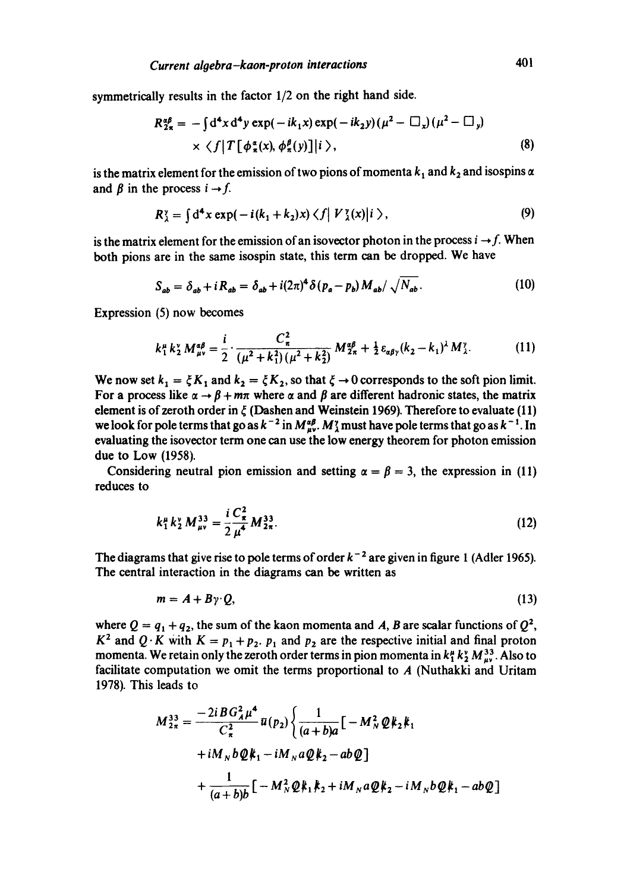symmetrically results in the factor 1/2 on the right hand side.

$$
R_{2\pi}^{\alpha\beta} = -\int d^4x d^4y \exp(-ik_1x) \exp(-ik_2y) (\mu^2 - \Box_x) (\mu^2 - \Box_y)
$$
  
 
$$
\times \langle f | T[\phi_{\pi}^{\alpha}(x), \phi_{\pi}^{\beta}(y)] | i \rangle,
$$
 (8)

is the matrix element for the emission of two pions of momenta  $k_1$  and  $k_2$  and isospins  $\alpha$ and  $\beta$  in the process  $i \rightarrow f$ .

$$
R_{\lambda}^{\gamma} = \int d^4x \exp(-i(k_1+k_2)x) \langle f | V_{\lambda}^{\gamma}(x) | i \rangle, \qquad (9)
$$

is the matrix element for the emission of an isovector photon in the process  $i \rightarrow f$ . When both pions are in the same isospin state, this term can be dropped. We have

$$
S_{ab} = \delta_{ab} + iR_{ab} = \delta_{ab} + i(2\pi)^4 \delta(p_a - p_b) M_{ab} / \sqrt{N_{ab}}.
$$
 (10)

Expression (5) now becomes

$$
k_1^{\mu} k_2^{\nu} M_{\mu\nu}^{\alpha\beta} = \frac{i}{2} \cdot \frac{C_\pi^2}{(\mu^2 + k_1^2)(\mu^2 + k_2^2)} M_{2\pi}^{\alpha\beta} + \frac{1}{2} \varepsilon_{\alpha\beta\gamma} (k_2 - k_1)^{\lambda} M_{\lambda}^{\nu}.
$$
 (11)

We now set  $k_1 = \xi K_1$  and  $k_2 = \xi K_2$ , so that  $\xi \to 0$  corresponds to the soft pion limit. For a process like  $\alpha \rightarrow \beta + m\pi$  where  $\alpha$  and  $\beta$  are different hadronic states, the matrix element is of zeroth order in  $\zeta$  (Dashen and Weinstein 1969). Therefore to evaluate (11) we look for pole terms that go as  $k^{-2}$  in  $M_{uv}^{4\beta}$ .  $M_{\lambda}^{\gamma}$  must have pole terms that go as  $k^{-1}$ . In evaluating the isovector term one can use the low energy theorem for photon emission due to Low (1958).

Considering neutral pion emission and setting  $\alpha = \beta = 3$ , the expression in (11) reduces to

$$
k_1^{\mu} k_2^{\nu} M_{\mu\nu}^{33} = \frac{i}{2} \frac{C_\star^2}{\mu^4} M_{2\pi}^{33}.
$$
 (12)

The diagrams that give rise to pole terms of order  $k^{-2}$  are given in figure 1 (Adler 1965). The central interaction in the diagrams can be written as

$$
m = A + B\gamma \cdot Q,\tag{13}
$$

where  $Q = q_1 + q_2$ , the sum of the kaon momenta and A, B are scalar functions of  $Q^2$ ,  $K^2$  and Q. K with  $K = p_1 + p_2$ .  $p_1$  and  $p_2$  are the respective initial and final proton momenta. We retain only the zeroth order terms in pion momenta in  $k_1^{\mu} k_2^{\nu} M_{\mu\nu}^{33}$ . Also to facilitate computation we omit the terms proportional to A (Nuthakki and Uritam 1978). This leads to

$$
M_{2\pi}^{33} = \frac{-2iBG_A^2\mu^4}{C_{\pi}^2} \bar{u}(p_2) \left\{ \frac{1}{(a+b)a} \left[ -M_N^2 \mathcal{Q} k_2 k_1 + iM_N b \mathcal{Q} k_1 - iM_N a \mathcal{Q} k_2 - ab \mathcal{Q} \right] + \frac{1}{(a+b)b} \left[ -M_N^2 \mathcal{Q} k_1 k_2 + iM_N a \mathcal{Q} k_2 - iM_N b \mathcal{Q} k_1 - ab \mathcal{Q} \right] \right\}
$$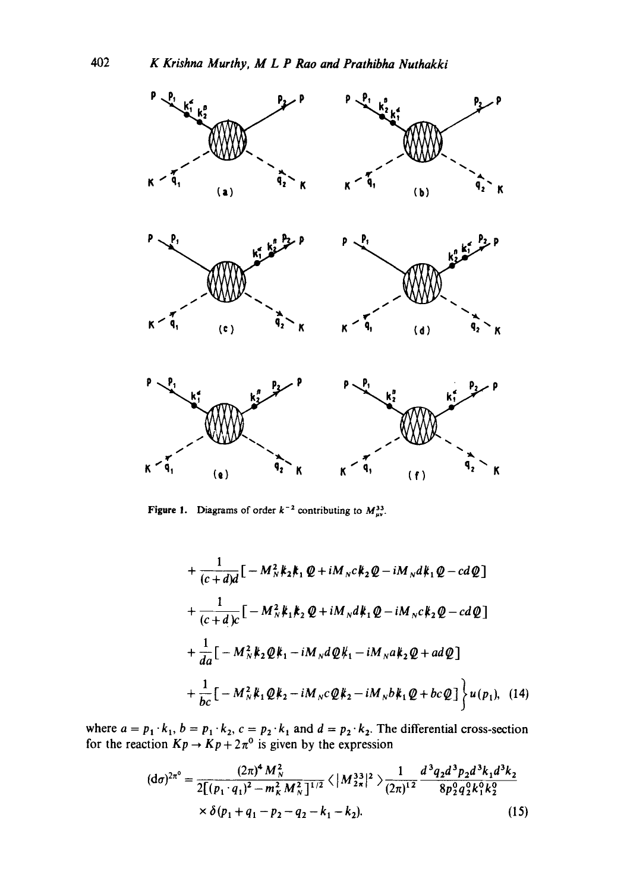

Figure 1. Diagrams of order  $k^{-2}$  contributing to  $M_{\mu\nu}^{33}$ .

$$
+\frac{1}{(c+d)d}\left[-M_N^2k_2k_1\varrho+iM_Nc k_2\varrho-iM_Nd k_1\varrho-cd\varrho\right]
$$
  
+
$$
\frac{1}{(c+d)c}\left[-M_N^2k_1k_2\varrho+iM_Nd k_1\varrho-iM_Nc k_2\varrho-cd\varrho\right]
$$
  
+
$$
\frac{1}{da}\left[-M_N^2k_2\varrho k_1-iM_Nd\varrho k_1-iM_Na k_2\varrho+a d\varrho\right]
$$
  
+
$$
\frac{1}{bc}\left[-M_N^2k_1\varrho k_2-iM_Nc\varrho k_2-iM_Nb k_1\varrho+bc\varrho\right]\left\}u(p_1),
$$
 (14)

where  $a = p_1 \cdot k_1$ ,  $b = p_1 \cdot k_2$ ,  $c = p_2 \cdot k_1$  and  $d = p_2 \cdot k_2$ . The differential cross-section for the reaction  $Kp \to Kp + 2\pi^0$  is given by the expression

$$
(\mathrm{d}\sigma)^{2n^{\circ}} = \frac{(2\pi)^{4} M_{N}^{2}}{2[(p_{1} \cdot q_{1})^{2} - m_{K}^{2} M_{N}^{2}]^{1/2}} \langle |M_{2\pi}^{33}|^{2} \rangle \frac{1}{(2\pi)^{12}} \frac{d^{3}q_{2}d^{3}p_{2}d^{3}k_{1}d^{3}k_{2}}{8p_{2}^{0}q_{2}^{0}k_{1}^{0}k_{2}^{0}} \times \delta(p_{1} + q_{1} - p_{2} - q_{2} - k_{1} - k_{2}).
$$
\n(15)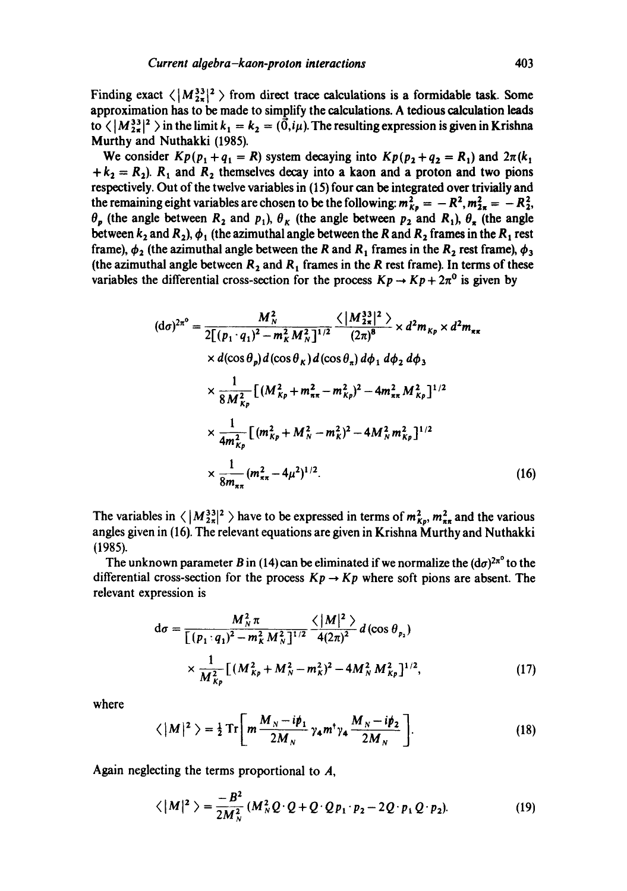Finding exact  $\langle |M_{2\pi}^{33}|^2 \rangle$  from direct trace calculations is a formidable task. Some approximation has to be made to simplify the calculations. A tedious calculation leads to  $\langle |M_{2\pi}^{33}|^2 \rangle$  in the limit  $k_1 = k_2 = (\vec{0}, i\mu)$ . The resulting expression is given in Krishna Murthy and Nuthakki (1985).

We consider  $Kp(p_1 + q_1 = R)$  system decaying into  $Kp(p_1 + q_2 = R_1)$  and  $2\pi(k_1)$  $+k_2 = R_2$ ).  $R_1$  and  $R_2$  themselves decay into a kaon and a proton and two pions respectively. Out of the twelve variables in (15) four can be integrated over trivially and the remaining eight variables are chosen to be the following:  $m_{K_n}^2 = -R^2, m_{Z_n}^2 = -R_2^2$ ,  $\theta_p$  (the angle between  $R_2$  and  $p_1$ ),  $\theta_K$  (the angle between  $p_2$  and  $R_1$ ),  $\theta_{\pi}$  (the angle between  $k_2$  and  $R_2$ ),  $\phi_1$  (the azimuthal angle between the R and  $R_2$  frames in the R<sub>1</sub> rest frame),  $\phi_2$  (the azimuthal angle between the R and R<sub>1</sub> frames in the R<sub>2</sub> rest frame),  $\phi_3$ (the azimuthal angle between  $R_2$  and  $R_1$  frames in the R rest frame). In terms of these variables the differential cross-section for the process  $Kp \rightarrow Kp + 2\pi^0$  is given by

$$
(d\sigma)^{2\pi^{0}} = \frac{M_{N}^{2}}{2\left[(p_{1} \cdot q_{1})^{2} - m_{K}^{2} M_{N}^{2}\right]^{1/2}} \frac{\langle \left|M_{2\pi}^{33}\right|^{2} \rangle}{(2\pi)^{8}} \times d^{2} m_{K_{P}} \times d^{2} m_{\pi\pi}
$$
  
 
$$
\times d(\cos \theta_{p}) d(\cos \theta_{K}) d(\cos \theta_{n}) d\phi_{1} d\phi_{2} d\phi_{3}
$$
  
 
$$
\times \frac{1}{8 M_{K_{P}}^{2}} \left[(M_{K_{P}}^{2} + m_{\pi\pi}^{2} - m_{K_{P}}^{2})^{2} - 4m_{\pi\pi}^{2} M_{K_{P}}^{2}\right]^{1/2}
$$
  
 
$$
\times \frac{1}{4m_{K_{P}}^{2}} \left[(m_{K_{P}}^{2} + M_{N}^{2} - m_{K}^{2})^{2} - 4M_{N}^{2} m_{K_{P}}^{2}\right]^{1/2}
$$
  
 
$$
\times \frac{1}{8m_{\pi\pi}} (m_{\pi\pi}^{2} - 4\mu^{2})^{1/2}.
$$
 (16)

The variables in  $\langle |M^{33}|^2 \rangle$  have to be expressed in terms of  $m_{K_p}^2$ ,  $m_{\pi\pi}^2$  and the various angles given in (16). The relevant equations are given in Krishna Murthy and Nuthakki (1985).

The unknown parameter B in (14) can be eliminated if we normalize the  $(d\sigma)^{2\pi^0}$  to the differential cross-section for the process  $Kp \rightarrow Kp$  where soft pions are absent. The relevant expression is

$$
d\sigma = \frac{M_N^2 \pi}{\left[ (p_1 : q_1)^2 - m_K^2 M_N^2 \right]^{1/2}} \frac{\langle |M|^2 \rangle}{4(2\pi)^2} d(\cos \theta_{p_2})
$$
  
 
$$
\times \frac{1}{M_{kp}^2} \left[ (M_{kp}^2 + M_N^2 - m_K^2)^2 - 4M_N^2 M_{kp}^2 \right]^{1/2}, \tag{17}
$$

where

$$
\langle |M|^2 \rangle = \frac{1}{2} \operatorname{Tr} \left[ m \frac{M_N - i \rlap/v_1}{2M_N} \gamma_4 m^{\dagger} \gamma_4 \frac{M_N - i \rlap/v_2}{2M_N} \right]. \tag{18}
$$

Again neglecting the terms proportional to A,

$$
\langle |M|^2 \rangle = \frac{-B^2}{2M_N^2} \left(M_N^2 Q \cdot Q + Q \cdot Q p_1 \cdot p_2 - 2Q \cdot p_1 Q \cdot p_2\right).
$$
 (19)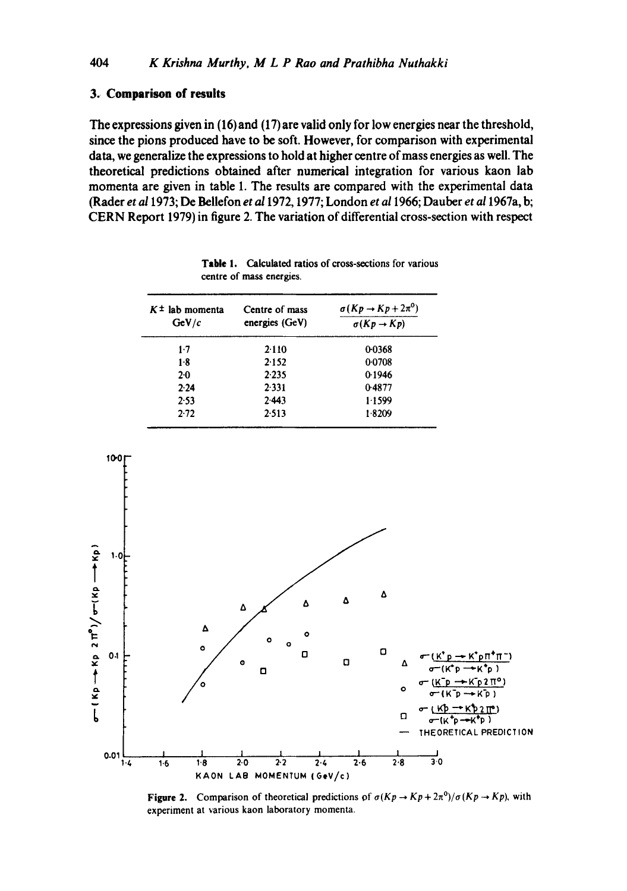#### **3. Comparison of results**

**The expressions given in (16) and (17) are valid only for low energies near the threshold, since the pions produced have to be soft. However, for comparison with experimental data, we generalize the expressions to hold at higher centre of mass energies as well. The theoretical predictions obtained after numerical integration for various kaon lab momenta are given in table 1. The results are compared with the experimental data (Racier** *et a11973;* **De Bellefon** *et a11972,* **1977; London** *et a11966;* **Dauber** *et a11967a,* **b; CERN Report 1979) in figure 2. The variation of differential cross-section with respect** 

| $K^{\pm}$ lab momenta<br>GeV/c | Centre of mass<br>energies (GeV) | $\sigma(Kp \rightarrow Kp + 2\pi^0)$<br>$\sigma(Kp \rightarrow Kp)$ |
|--------------------------------|----------------------------------|---------------------------------------------------------------------|
|                                |                                  |                                                                     |
| 1.8                            | 2.152                            | 0.0708                                                              |
| $2-0$                          | 2.235                            | 0.1946                                                              |
| 2.24                           | 2.331                            | 0.4877                                                              |
| 2.53                           | 2.443                            | 1.1599                                                              |
| 2.72                           | 2.513                            | 1.8209                                                              |

**Table 1. Calculated ratios of cross-sections for various centre of mass energies.** 



**Figure 2.** Comparison of theoretical predictions of  $\sigma (Kp \rightarrow Kp + 2\pi^0)/\sigma (Kp \rightarrow Kp)$ , with **experiment at various kaon laboratory momenta.**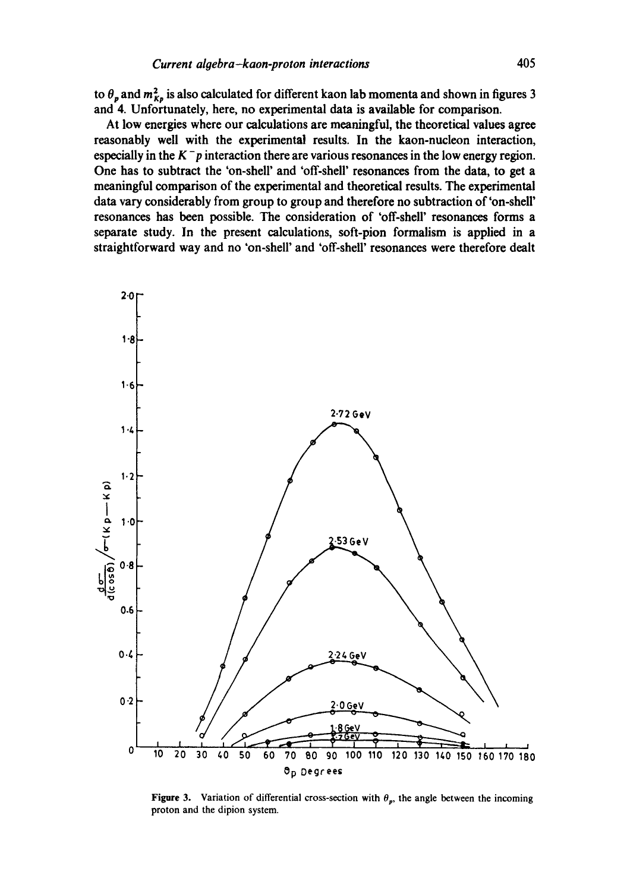to  $\theta_p$  and  $m_{K_p}^2$  is also calculated for different kaon lab momenta and shown in figures 3 and 4. Unfortunately, here, no experimental data is available for comparison.

At low energies where our calculations are meaningful, the theoretical values agree reasonably well with the experimental results. In the kaon-nucleon interaction, especially in the  $K^-p$  interaction there are various resonances in the low energy region. One has to subtract the 'on-shell' and 'off-shell' resonances from the data, to get a meaningful comparison of the experimental and theoretical results. The experimental data vary considerably from group to group and therefore no subtraction of 'on-shell' resonances has been possible. The consideration of 'off-shell' resonances forms a separate study. In the present calculations, soft-pion formalism is applied in a straightforward way and no 'on-shell' and 'off-shell' resonances were therefore dealt



**Figure 3.** Variation of differential cross-section with  $\theta_p$ , the angle between the incoming proton and the dipion system.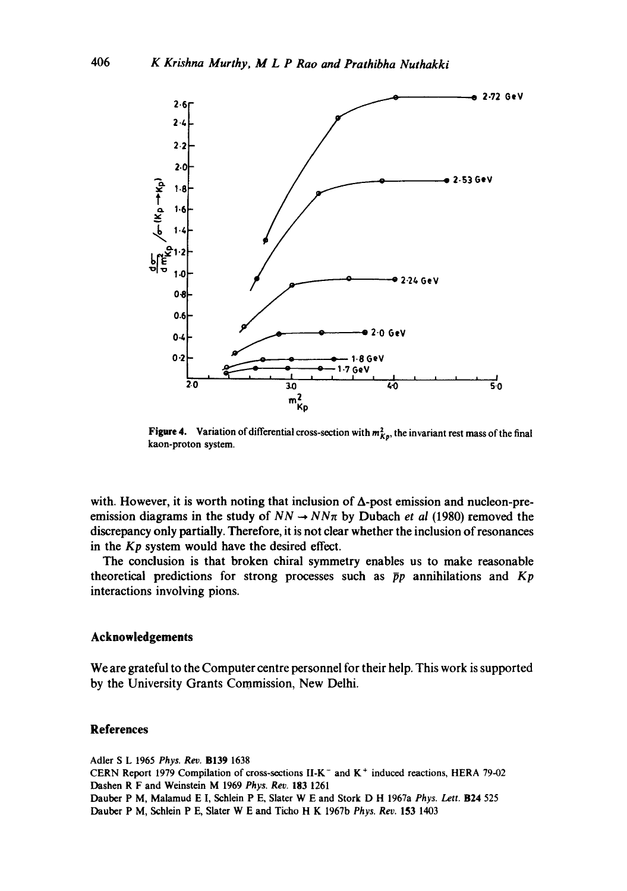

**Figure 4.** Variation of differential cross-section with  $m_{K_p}^2$ , the invariant rest mass of the final kaon-proton system.

with. However, it is worth noting that inclusion of  $\Delta$ -post emission and nucleon-preemission diagrams in the study of  $NN \rightarrow NN\pi$  by Dubach *et al* (1980) removed the discrepancy only partially. Therefore, it is not clear whether the inclusion of resonances in the *Kp* system would have the desired effect.

The conclusion is that broken chiral symmetry enables us to make reasonable theoretical predictions for strong processes such as  $\bar{p}p$  annihilations and  $Kp$ interactions involving pions.

#### **Acknowledgements**

**We are grateful to the Computer centre personnel for their help. This work is supported by the University Grants Commission, New Delhi.** 

#### **References**

Adler S L 1965 *Phys. Rev.* B139 1638 CERN Report 1979 Compilation of cross-sections II-K- and K ÷ induced reactions, HERA 79-02 Dashen R F and Weinstein M 1969 *Phys. Rev.* 183 1261 Dauber P M, Malamud E I, Schlein P E, Slater W E and Stork D H 1967a *Phys. Lett.* B24 525 Dauber P M, Schlein P E, Slater W E and Ticho H K 1967b *Phys. Rev.* 153 1403